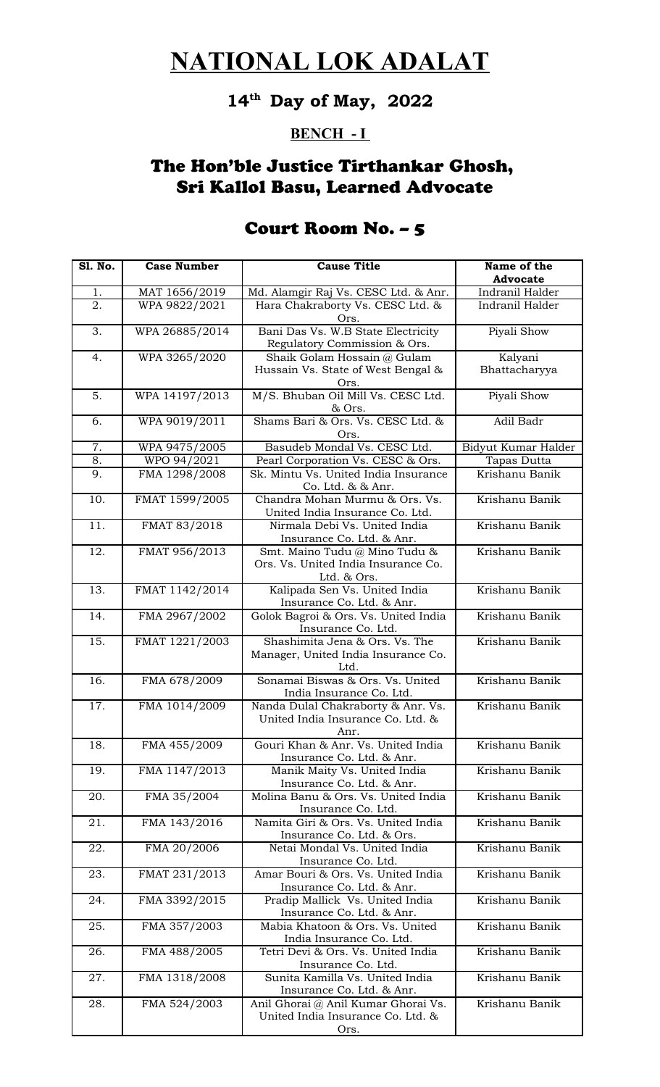# **14th Day of May, 2022**

### **BENCH - I**

### The Hon'ble Justice Tirthankar Ghosh, Sri Kallol Basu, Learned Advocate

| <b>S1. No.</b> | <b>Case Number</b> | <b>Cause Title</b>                                                                  | Name of the              |
|----------------|--------------------|-------------------------------------------------------------------------------------|--------------------------|
|                |                    |                                                                                     | <b>Advocate</b>          |
| 1.             | MAT 1656/2019      | Md. Alamgir Raj Vs. CESC Ltd. & Anr.                                                | Indranil Halder          |
| 2.             | WPA 9822/2021      | Hara Chakraborty Vs. CESC Ltd. &<br>Ors.                                            | Indranil Halder          |
| 3.             | WPA 26885/2014     | Bani Das Vs. W.B State Electricity<br>Regulatory Commission & Ors.                  | Piyali Show              |
| 4.             | WPA 3265/2020      | Shaik Golam Hossain @ Gulam<br>Hussain Vs. State of West Bengal &<br>Ors.           | Kalyani<br>Bhattacharyya |
| 5.             | WPA 14197/2013     | M/S. Bhuban Oil Mill Vs. CESC Ltd.<br>& Ors.                                        | Piyali Show              |
| 6.             | WPA 9019/2011      | Shams Bari & Ors. Vs. CESC Ltd. &<br>Ors.                                           | Adil Badr                |
| 7.             | WPA 9475/2005      | Basudeb Mondal Vs. CESC Ltd.                                                        | Bidyut Kumar Halder      |
| 8.             | WPO 94/2021        | Pearl Corporation Vs. CESC & Ors.                                                   | Tapas Dutta              |
| 9.             | FMA 1298/2008      | Sk. Mintu Vs. United India Insurance<br>Co. Ltd. & & Anr.                           | Krishanu Banik           |
| 10.            | FMAT 1599/2005     | Chandra Mohan Murmu & Ors. Vs.<br>United India Insurance Co. Ltd.                   | Krishanu Banik           |
| 11.            | FMAT 83/2018       | Nirmala Debi Vs. United India<br>Insurance Co. Ltd. & Anr.                          | Krishanu Banik           |
| 12.            | FMAT 956/2013      | Smt. Maino Tudu @ Mino Tudu &<br>Ors. Vs. United India Insurance Co.<br>Ltd. & Ors. | Krishanu Banik           |
| 13.            | FMAT 1142/2014     | Kalipada Sen Vs. United India<br>Insurance Co. Ltd. & Anr.                          | Krishanu Banik           |
| 14.            | FMA 2967/2002      | Golok Bagroi & Ors. Vs. United India<br>Insurance Co. Ltd.                          | Krishanu Banik           |
| 15.            | FMAT 1221/2003     | Shashimita Jena & Ors. Vs. The<br>Manager, United India Insurance Co.<br>Ltd.       | Krishanu Banik           |
| 16.            | FMA 678/2009       | Sonamai Biswas & Ors. Vs. United<br>India Insurance Co. Ltd.                        | Krishanu Banik           |
| 17.            | FMA 1014/2009      | Nanda Dulal Chakraborty & Anr. Vs.<br>United India Insurance Co. Ltd. &<br>Anr.     | Krishanu Banik           |
| 18.            | FMA 455/2009       | Gouri Khan & Anr. Vs. United India<br>Insurance Co. Ltd. & Anr.                     | Krishanu Banik           |
| 19.            | FMA 1147/2013      | Manik Maity Vs. United India<br>Insurance Co. Ltd. & Anr.                           | Krishanu Banik           |
| 20.            | FMA 35/2004        | Molina Banu & Ors. Vs. United India<br>Insurance Co. Ltd.                           | Krishanu Banik           |
| 21.            | FMA 143/2016       | Namita Giri & Ors. Vs. United India<br>Insurance Co. Ltd. & Ors.                    | Krishanu Banik           |
| 22.            | FMA 20/2006        | Netai Mondal Vs. United India<br>Insurance Co. Ltd.                                 | Krishanu Banik           |
| 23.            | FMAT 231/2013      | Amar Bouri & Ors. Vs. United India<br>Insurance Co. Ltd. & Anr.                     | Krishanu Banik           |
| 24.            | FMA 3392/2015      | Pradip Mallick Vs. United India<br>Insurance Co. Ltd. & Anr.                        | Krishanu Banik           |
| 25.            | FMA 357/2003       | Mabia Khatoon & Ors. Vs. United<br>India Insurance Co. Ltd.                         | Krishanu Banik           |
| 26.            | FMA 488/2005       | Tetri Devi & Ors. Vs. United India<br>Insurance Co. Ltd.                            | Krishanu Banik           |
| 27.            | FMA 1318/2008      | Sunita Kamilla Vs. United India<br>Insurance Co. Ltd. & Anr.                        | Krishanu Banik           |
| 28.            | FMA 524/2003       | Anil Ghorai @ Anil Kumar Ghorai Vs.<br>United India Insurance Co. Ltd. &<br>Ors.    | Krishanu Banik           |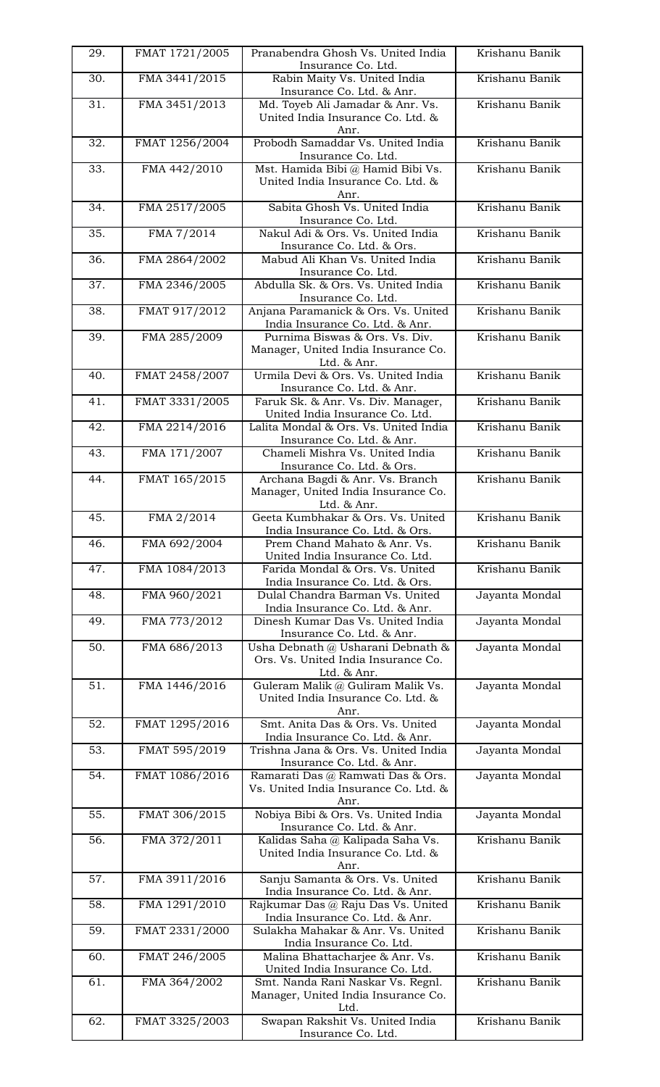| 29. | FMAT 1721/2005 | Pranabendra Ghosh Vs. United India<br>Insurance Co. Ltd.                                | Krishanu Banik |
|-----|----------------|-----------------------------------------------------------------------------------------|----------------|
| 30. | FMA 3441/2015  | Rabin Maity Vs. United India<br>Insurance Co. Ltd. & Anr.                               | Krishanu Banik |
| 31. | FMA 3451/2013  | Md. Toyeb Ali Jamadar & Anr. Vs.<br>United India Insurance Co. Ltd. &<br>Anr.           | Krishanu Banik |
| 32. | FMAT 1256/2004 | Probodh Samaddar Vs. United India<br>Insurance Co. Ltd.                                 | Krishanu Banik |
| 33. | FMA 442/2010   | Mst. Hamida Bibi @ Hamid Bibi Vs.<br>United India Insurance Co. Ltd. &<br>Anr.          | Krishanu Banik |
| 34. | FMA 2517/2005  | Sabita Ghosh Vs. United India<br>Insurance Co. Ltd.                                     | Krishanu Banik |
| 35. | FMA 7/2014     | Nakul Adi & Ors. Vs. United India<br>Insurance Co. Ltd. & Ors.                          | Krishanu Banik |
| 36. | FMA 2864/2002  | Mabud Ali Khan Vs. United India<br>Insurance Co. Ltd.                                   | Krishanu Banik |
| 37. | FMA 2346/2005  | Abdulla Sk. & Ors. Vs. United India<br>Insurance Co. Ltd.                               | Krishanu Banik |
| 38. | FMAT 917/2012  | Anjana Paramanick & Ors. Vs. United<br>India Insurance Co. Ltd. & Anr.                  | Krishanu Banik |
| 39. | FMA 285/2009   | Purnima Biswas & Ors. Vs. Div.<br>Manager, United India Insurance Co.<br>Ltd. & Anr.    | Krishanu Banik |
| 40. | FMAT 2458/2007 | Urmila Devi & Ors. Vs. United India<br>Insurance Co. Ltd. & Anr.                        | Krishanu Banik |
| 41. | FMAT 3331/2005 | Faruk Sk. & Anr. Vs. Div. Manager,<br>United India Insurance Co. Ltd.                   | Krishanu Banik |
| 42. | FMA 2214/2016  | Lalita Mondal & Ors. Vs. United India<br>Insurance Co. Ltd. & Anr.                      | Krishanu Banik |
| 43. | FMA 171/2007   | Chameli Mishra Vs. United India<br>Insurance Co. Ltd. & Ors.                            | Krishanu Banik |
| 44. | FMAT 165/2015  | Archana Bagdi & Anr. Vs. Branch<br>Manager, United India Insurance Co.<br>Ltd. & Anr.   | Krishanu Banik |
| 45. | FMA 2/2014     | Geeta Kumbhakar & Ors. Vs. United<br>India Insurance Co. Ltd. & Ors.                    | Krishanu Banik |
| 46. | FMA 692/2004   | Prem Chand Mahato & Anr. Vs.<br>United India Insurance Co. Ltd.                         | Krishanu Banik |
| 47. | FMA 1084/2013  | Farida Mondal & Ors. Vs. United<br>India Insurance Co. Ltd. & Ors.                      | Krishanu Banik |
| 48. | FMA 960/2021   | Dulal Chandra Barman Vs. United<br>India Insurance Co. Ltd. & Anr.                      | Jayanta Mondal |
| 49. | FMA 773/2012   | Dinesh Kumar Das Vs. United India<br>Insurance Co. Ltd. & Anr.                          | Jayanta Mondal |
| 50. | FMA 686/2013   | Usha Debnath @ Usharani Debnath &<br>Ors. Vs. United India Insurance Co.<br>Ltd. & Anr. | Jayanta Mondal |
| 51. | FMA 1446/2016  | Guleram Malik @ Guliram Malik Vs.<br>United India Insurance Co. Ltd. &<br>Anr.          | Jayanta Mondal |
| 52. | FMAT 1295/2016 | Smt. Anita Das & Ors. Vs. United<br>India Insurance Co. Ltd. & Anr.                     | Jayanta Mondal |
| 53. | FMAT 595/2019  | Trishna Jana & Ors. Vs. United India<br>Insurance Co. Ltd. & Anr.                       | Jayanta Mondal |
| 54. | FMAT 1086/2016 | Ramarati Das @ Ramwati Das & Ors.<br>Vs. United India Insurance Co. Ltd. &<br>Anr.      | Jayanta Mondal |
| 55. | FMAT 306/2015  | Nobiya Bibi & Ors. Vs. United India<br>Insurance Co. Ltd. & Anr.                        | Jayanta Mondal |
| 56. | FMA 372/2011   | Kalidas Saha @ Kalipada Saha Vs.<br>United India Insurance Co. Ltd. &<br>Anr.           | Krishanu Banik |
| 57. | FMA 3911/2016  | Sanju Samanta & Ors. Vs. United<br>India Insurance Co. Ltd. & Anr.                      | Krishanu Banik |
| 58. | FMA 1291/2010  | Rajkumar Das @ Raju Das Vs. United<br>India Insurance Co. Ltd. & Anr.                   | Krishanu Banik |
| 59. | FMAT 2331/2000 | Sulakha Mahakar & Anr. Vs. United<br>India Insurance Co. Ltd.                           | Krishanu Banik |
| 60. | FMAT 246/2005  | Malina Bhattacharjee & Anr. Vs.<br>United India Insurance Co. Ltd.                      | Krishanu Banik |
| 61. | FMA 364/2002   | Smt. Nanda Rani Naskar Vs. Regnl.<br>Manager, United India Insurance Co.<br>Ltd.        | Krishanu Banik |
| 62. | FMAT 3325/2003 | Swapan Rakshit Vs. United India<br>Insurance Co. Ltd.                                   | Krishanu Banik |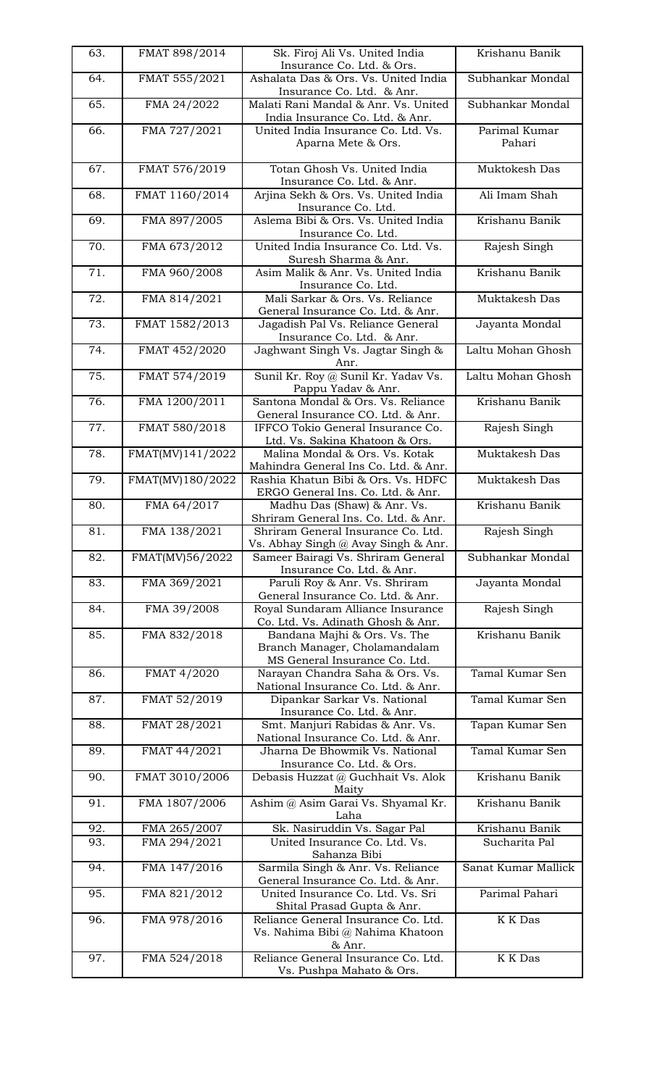| 63. | FMAT 898/2014    | Sk. Firoj Ali Vs. United India<br>Insurance Co. Ltd. & Ors.                                    | Krishanu Banik          |
|-----|------------------|------------------------------------------------------------------------------------------------|-------------------------|
| 64. | FMAT 555/2021    | Ashalata Das & Ors. Vs. United India<br>Insurance Co. Ltd. & Anr.                              | Subhankar Mondal        |
| 65. | FMA 24/2022      | Malati Rani Mandal & Anr. Vs. United<br>India Insurance Co. Ltd. & Anr.                        | Subhankar Mondal        |
| 66. | FMA 727/2021     | United India Insurance Co. Ltd. Vs.<br>Aparna Mete & Ors.                                      | Parimal Kumar<br>Pahari |
| 67. | FMAT 576/2019    | Totan Ghosh Vs. United India<br>Insurance Co. Ltd. & Anr.                                      | Muktokesh Das           |
| 68. | FMAT 1160/2014   | Arjina Sekh & Ors. Vs. United India<br>Insurance Co. Ltd.                                      | Ali Imam Shah           |
| 69. | FMA 897/2005     | Aslema Bibi & Ors. Vs. United India<br>Insurance Co. Ltd.                                      | Krishanu Banik          |
| 70. | FMA 673/2012     | United India Insurance Co. Ltd. Vs.<br>Suresh Sharma & Anr.                                    | Rajesh Singh            |
| 71. | FMA 960/2008     | Asim Malik & Anr. Vs. United India<br>Insurance Co. Ltd.                                       | Krishanu Banik          |
| 72. | FMA 814/2021     | Mali Sarkar & Ors. Vs. Reliance<br>General Insurance Co. Ltd. & Anr.                           | Muktakesh Das           |
| 73. | FMAT 1582/2013   | Jagadish Pal Vs. Reliance General<br>Insurance Co. Ltd. & Anr.                                 | Jayanta Mondal          |
| 74. | FMAT 452/2020    | Jaghwant Singh Vs. Jagtar Singh &<br>Anr.                                                      | Laltu Mohan Ghosh       |
| 75. | FMAT 574/2019    | Sunil Kr. Roy @ Sunil Kr. Yadav Vs.<br>Pappu Yadav & Anr.                                      | Laltu Mohan Ghosh       |
| 76. | FMA 1200/2011    | Santona Mondal & Ors. Vs. Reliance<br>General Insurance CO. Ltd. & Anr.                        | Krishanu Banik          |
| 77. | FMAT 580/2018    | IFFCO Tokio General Insurance Co.<br>Ltd. Vs. Sakina Khatoon & Ors.                            | Rajesh Singh            |
| 78. | FMAT(MV)141/2022 | Malina Mondal & Ors. Vs. Kotak<br>Mahindra General Ins Co. Ltd. & Anr.                         | Muktakesh Das           |
| 79. | FMAT(MV)180/2022 | Rashia Khatun Bibi & Ors. Vs. HDFC<br>ERGO General Ins. Co. Ltd. & Anr.                        | Muktakesh Das           |
| 80. | FMA 64/2017      | Madhu Das (Shaw) & Anr. Vs.<br>Shriram General Ins. Co. Ltd. & Anr.                            | Krishanu Banik          |
| 81. | FMA 138/2021     | Shriram General Insurance Co. Ltd.<br>Vs. Abhay Singh @ Avay Singh & Anr.                      | Rajesh Singh            |
| 82. | FMAT(MV)56/2022  | Sameer Bairagi Vs. Shriram General<br>Insurance Co. Ltd. & Anr.                                | Subhankar Mondal        |
| 83. | FMA 369/2021     | Paruli Roy & Anr. Vs. Shriram<br>General Insurance Co. Ltd. & Anr.                             | Jayanta Mondal          |
| 84. | FMA 39/2008      | Royal Sundaram Alliance Insurance<br>Co. Ltd. Vs. Adinath Ghosh & Anr.                         | Rajesh Singh            |
| 85. | FMA 832/2018     | Bandana Majhi & Ors. Vs. The<br>Branch Manager, Cholamandalam<br>MS General Insurance Co. Ltd. | Krishanu Banik          |
| 86. | FMAT 4/2020      | Narayan Chandra Saha & Ors. Vs.<br>National Insurance Co. Ltd. & Anr.                          | Tamal Kumar Sen         |
| 87. | FMAT 52/2019     | Dipankar Sarkar Vs. National<br>Insurance Co. Ltd. & Anr.                                      | Tamal Kumar Sen         |
| 88. | FMAT 28/2021     | Smt. Manjuri Rabidas & Anr. Vs.<br>National Insurance Co. Ltd. & Anr.                          | Tapan Kumar Sen         |
| 89. | FMAT 44/2021     | Jharna De Bhowmik Vs. National<br>Insurance Co. Ltd. & Ors.                                    | Tamal Kumar Sen         |
| 90. | FMAT 3010/2006   | Debasis Huzzat @ Guchhait Vs. Alok<br>Maity                                                    | Krishanu Banik          |
| 91. | FMA 1807/2006    | Ashim @ Asim Garai Vs. Shyamal Kr.<br>Laha                                                     | Krishanu Banik          |
| 92. | FMA 265/2007     | Sk. Nasiruddin Vs. Sagar Pal                                                                   | Krishanu Banik          |
| 93. | FMA 294/2021     | United Insurance Co. Ltd. Vs.<br>Sahanza Bibi                                                  | Sucharita Pal           |
| 94. | FMA 147/2016     | Sarmila Singh & Anr. Vs. Reliance<br>General Insurance Co. Ltd. & Anr.                         | Sanat Kumar Mallick     |
| 95. | FMA 821/2012     | United Insurance Co. Ltd. Vs. Sri<br>Shital Prasad Gupta & Anr.                                | Parimal Pahari          |
| 96. | FMA 978/2016     | Reliance General Insurance Co. Ltd.<br>Vs. Nahima Bibi @ Nahima Khatoon<br>& Anr.              | K K Das                 |
| 97. | FMA 524/2018     | Reliance General Insurance Co. Ltd.<br>Vs. Pushpa Mahato & Ors.                                | K K Das                 |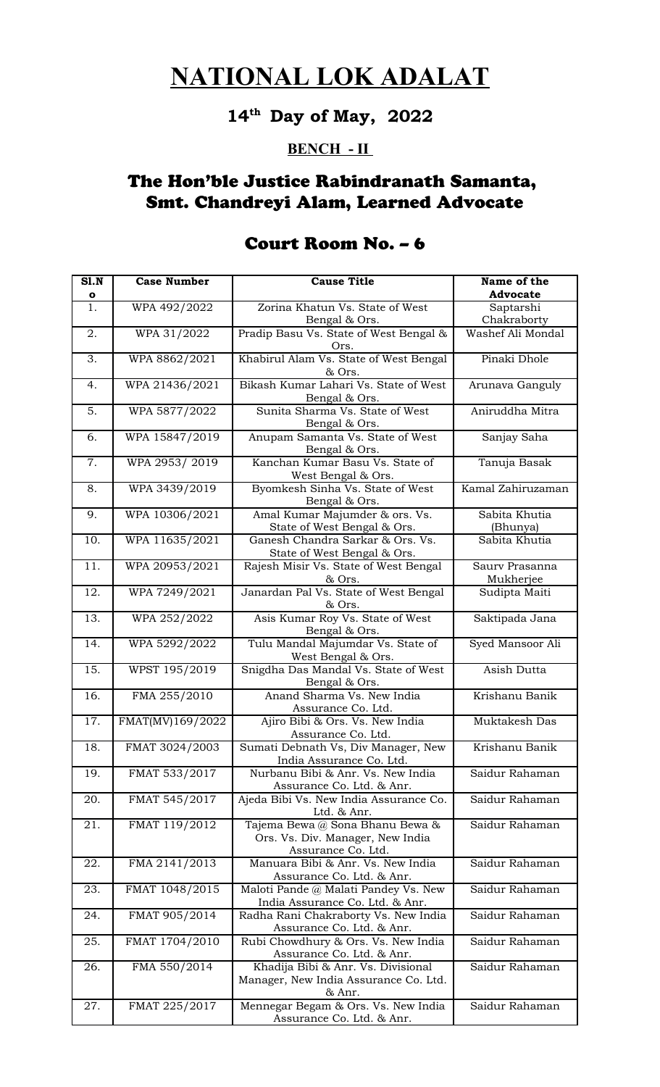**14th Day of May, 2022**

#### **BENCH - II**

## The Hon'ble Justice Rabindranath Samanta, Smt. Chandreyi Alam, Learned Advocate

| SI.N<br>$\bullet$ | <b>Case Number</b> | <b>Cause Title</b>                                                                        | Name of the<br>Advocate     |
|-------------------|--------------------|-------------------------------------------------------------------------------------------|-----------------------------|
| 1.                | WPA 492/2022       | Zorina Khatun Vs. State of West<br>Bengal & Ors.                                          | Saptarshi<br>Chakraborty    |
| 2.                | WPA 31/2022        | Pradip Basu Vs. State of West Bengal &<br>Ors.                                            | Washef Ali Mondal           |
| 3.                | WPA 8862/2021      | Khabirul Alam Vs. State of West Bengal<br>& Ors.                                          | Pinaki Dhole                |
| 4.                | WPA 21436/2021     | Bikash Kumar Lahari Vs. State of West<br>Bengal & Ors.                                    | Arunava Ganguly             |
| 5.                | WPA 5877/2022      | Sunita Sharma Vs. State of West<br>Bengal & Ors.                                          | Aniruddha Mitra             |
| 6.                | WPA 15847/2019     | Anupam Samanta Vs. State of West<br>Bengal & Ors.                                         | Sanjay Saha                 |
| 7.                | WPA 2953/2019      | Kanchan Kumar Basu Vs. State of<br>West Bengal & Ors.                                     | Tanuja Basak                |
| 8.                | WPA 3439/2019      | Byomkesh Sinha Vs. State of West<br>Bengal & Ors.                                         | Kamal Zahiruzaman           |
| 9.                | WPA 10306/2021     | Amal Kumar Majumder & ors. Vs.<br>State of West Bengal & Ors.                             | Sabita Khutia<br>(Bhunya)   |
| 10.               | WPA 11635/2021     | Ganesh Chandra Sarkar & Ors. Vs.<br>State of West Bengal & Ors.                           | Sabita Khutia               |
| 11.               | WPA 20953/2021     | Rajesh Misir Vs. State of West Bengal<br>& Ors.                                           | Saurv Prasanna<br>Mukherjee |
| 12.               | WPA 7249/2021      | Janardan Pal Vs. State of West Bengal<br>& Ors.                                           | Sudipta Maiti               |
| 13.               | WPA 252/2022       | Asis Kumar Roy Vs. State of West<br>Bengal & Ors.                                         | Saktipada Jana              |
| 14.               | WPA 5292/2022      | Tulu Mandal Majumdar Vs. State of<br>West Bengal & Ors.                                   | Syed Mansoor Ali            |
| 15.               | WPST 195/2019      | Snigdha Das Mandal Vs. State of West<br>Bengal & Ors.                                     | Asish Dutta                 |
| 16.               | FMA 255/2010       | Anand Sharma Vs. New India<br>Assurance Co. Ltd.                                          | Krishanu Banik              |
| 17.               | FMAT(MV)169/2022   | Ajiro Bibi & Ors. Vs. New India<br>Assurance Co. Ltd.                                     | Muktakesh Das               |
| 18.               | FMAT 3024/2003     | Sumati Debnath Vs, Div Manager, New<br>India Assurance Co. Ltd.                           | Krishanu Banik              |
| 19.               | FMAT 533/2017      | Nurbanu Bibi & Anr. Vs. New India<br>Assurance Co. Ltd. & Anr.                            | Saidur Rahaman              |
| 20.               | FMAT 545/2017      | Ajeda Bibi Vs. New India Assurance Co.<br>Ltd. & Anr.                                     | Saidur Rahaman              |
| 21.               | FMAT 119/2012      | Tajema Bewa @ Sona Bhanu Bewa &<br>Ors. Vs. Div. Manager, New India<br>Assurance Co. Ltd. | Saidur Rahaman              |
| 22.               | FMA 2141/2013      | Manuara Bibi & Anr. Vs. New India<br>Assurance Co. Ltd. & Anr.                            | Saidur Rahaman              |
| 23.               | FMAT 1048/2015     | Maloti Pande @ Malati Pandey Vs. New<br>India Assurance Co. Ltd. & Anr.                   | Saidur Rahaman              |
| 24.               | FMAT 905/2014      | Radha Rani Chakraborty Vs. New India<br>Assurance Co. Ltd. & Anr.                         | Saidur Rahaman              |
| 25.               | FMAT 1704/2010     | Rubi Chowdhury & Ors. Vs. New India<br>Assurance Co. Ltd. & Anr.                          | Saidur Rahaman              |
| 26.               | FMA 550/2014       | Khadija Bibi & Anr. Vs. Divisional<br>Manager, New India Assurance Co. Ltd.<br>& Anr.     | Saidur Rahaman              |
| 27.               | FMAT 225/2017      | Mennegar Begam & Ors. Vs. New India<br>Assurance Co. Ltd. & Anr.                          | Saidur Rahaman              |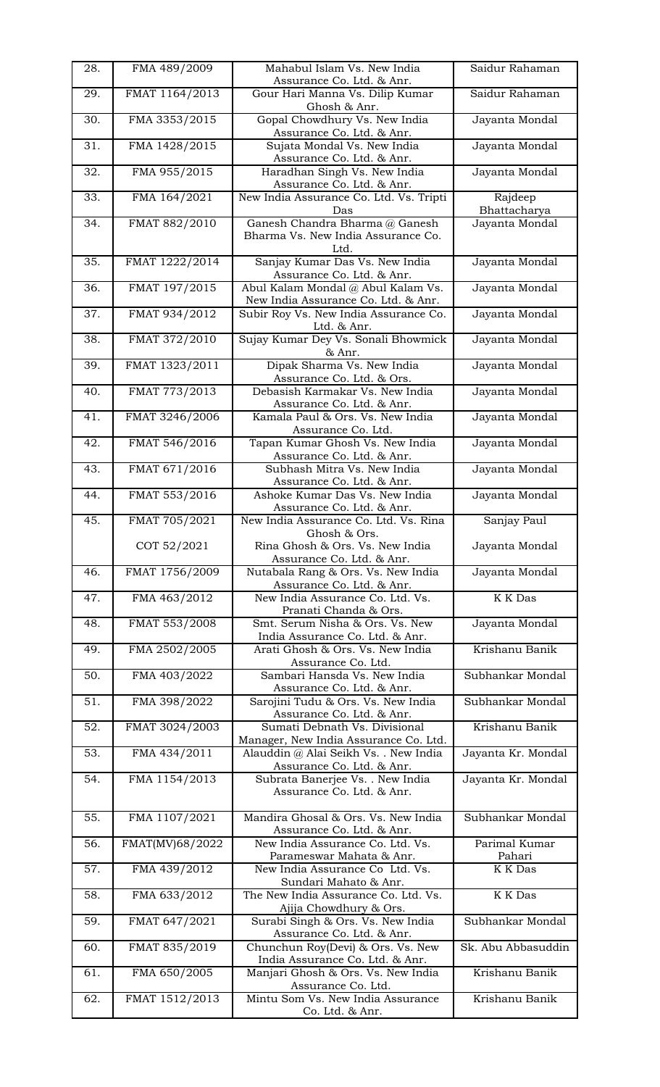| 28. | FMA 489/2009    | Mahabul Islam Vs. New India<br>Assurance Co. Ltd. & Anr.                                   | Saidur Rahaman          |
|-----|-----------------|--------------------------------------------------------------------------------------------|-------------------------|
| 29. | FMAT 1164/2013  | Gour Hari Manna Vs. Dilip Kumar<br>Ghosh & Anr.                                            | Saidur Rahaman          |
| 30. | FMA 3353/2015   | Gopal Chowdhury Vs. New India<br>Assurance Co. Ltd. & Anr.                                 | Jayanta Mondal          |
| 31. | FMA 1428/2015   | Sujata Mondal Vs. New India<br>Assurance Co. Ltd. & Anr.                                   | Jayanta Mondal          |
| 32. | FMA 955/2015    | Haradhan Singh Vs. New India<br>Assurance Co. Ltd. & Anr.                                  | Jayanta Mondal          |
| 33. | FMA 164/2021    | New India Assurance Co. Ltd. Vs. Tripti<br>Das                                             | Rajdeep<br>Bhattacharya |
| 34. | FMAT 882/2010   | Ganesh Chandra Bharma @ Ganesh<br>Bharma Vs. New India Assurance Co.<br>Ltd.               | Jayanta Mondal          |
| 35. | FMAT 1222/2014  | Sanjay Kumar Das Vs. New India<br>Assurance Co. Ltd. & Anr.                                | Jayanta Mondal          |
| 36. | FMAT 197/2015   | Abul Kalam Mondal @ Abul Kalam Vs.<br>New India Assurance Co. Ltd. & Anr.                  | Jayanta Mondal          |
| 37. | FMAT 934/2012   | Subir Roy Vs. New India Assurance Co.<br>Ltd. & Anr.                                       | Jayanta Mondal          |
| 38. | FMAT 372/2010   | Sujay Kumar Dey Vs. Sonali Bhowmick                                                        | Jayanta Mondal          |
| 39. | FMAT 1323/2011  | & Anr.<br>Dipak Sharma Vs. New India                                                       | Jayanta Mondal          |
| 40. | FMAT 773/2013   | Assurance Co. Ltd. & Ors.<br>Debasish Karmakar Vs. New India                               | Jayanta Mondal          |
| 41. | FMAT 3246/2006  | Assurance Co. Ltd. & Anr.<br>Kamala Paul & Ors. Vs. New India                              | Jayanta Mondal          |
| 42. | FMAT 546/2016   | Assurance Co. Ltd.<br>Tapan Kumar Ghosh Vs. New India                                      | Jayanta Mondal          |
| 43. | FMAT 671/2016   | Assurance Co. Ltd. & Anr.<br>Subhash Mitra Vs. New India                                   | Jayanta Mondal          |
| 44. | FMAT 553/2016   | Assurance Co. Ltd. & Anr.<br>Ashoke Kumar Das Vs. New India                                | Jayanta Mondal          |
| 45. | FMAT 705/2021   | Assurance Co. Ltd. & Anr.<br>New India Assurance Co. Ltd. Vs. Rina                         | Sanjay Paul             |
|     | COT 52/2021     | Ghosh & Ors.<br>Rina Ghosh & Ors. Vs. New India<br>Assurance Co. Ltd. & Anr.               | Jayanta Mondal          |
| 46. | FMAT 1756/2009  | Nutabala Rang & Ors. Vs. New India<br>Assurance Co. Ltd. & Anr.                            | Jayanta Mondal          |
| 47. | FMA 463/2012    | New India Assurance Co. Ltd. Vs.<br>Pranati Chanda & Ors.                                  | <b>K</b> K Das          |
| 48. | FMAT 553/2008   | Smt. Serum Nisha & Ors. Vs. New<br>India Assurance Co. Ltd. & Anr.                         | Jayanta Mondal          |
| 49. | FMA 2502/2005   | Arati Ghosh & Ors. Vs. New India<br>Assurance Co. Ltd.                                     | Krishanu Banik          |
| 50. | FMA 403/2022    | Sambari Hansda Vs. New India<br>Assurance Co. Ltd. & Anr.                                  | Subhankar Mondal        |
| 51. | FMA 398/2022    | Sarojini Tudu & Ors. Vs. New India                                                         | Subhankar Mondal        |
| 52. | FMAT 3024/2003  | Assurance Co. Ltd. & Anr.<br>Sumati Debnath Vs. Divisional                                 | Krishanu Banik          |
| 53. | FMA 434/2011    | Manager, New India Assurance Co. Ltd.<br>Alauddin @ Alai Seikh Vs. . New India             | Jayanta Kr. Mondal      |
| 54. | FMA 1154/2013   | Assurance Co. Ltd. & Anr.<br>Subrata Banerjee Vs. . New India<br>Assurance Co. Ltd. & Anr. | Jayanta Kr. Mondal      |
| 55. | FMA 1107/2021   | Mandira Ghosal & Ors. Vs. New India                                                        | Subhankar Mondal        |
| 56. | FMAT(MV)68/2022 | Assurance Co. Ltd. & Anr.<br>New India Assurance Co. Ltd. Vs.<br>Parameswar Mahata & Anr.  | Parimal Kumar<br>Pahari |
| 57. | FMA 439/2012    | New India Assurance Co Ltd. Vs.                                                            | K K Das                 |
| 58. | FMA 633/2012    | Sundari Mahato & Anr.<br>The New India Assurance Co. Ltd. Vs.<br>Ajija Chowdhury & Ors.    | K K Das                 |
| 59. | FMAT 647/2021   | Surabi Singh & Ors. Vs. New India<br>Assurance Co. Ltd. & Anr.                             | Subhankar Mondal        |
| 60. | FMAT 835/2019   | Chunchun Roy(Devi) & Ors. Vs. New<br>India Assurance Co. Ltd. & Anr.                       | Sk. Abu Abbasuddin      |
| 61. | FMA 650/2005    | Manjari Ghosh & Ors. Vs. New India<br>Assurance Co. Ltd.                                   | Krishanu Banik          |
| 62. | FMAT 1512/2013  | Mintu Som Vs. New India Assurance<br>Co. Ltd. & Anr.                                       | Krishanu Banik          |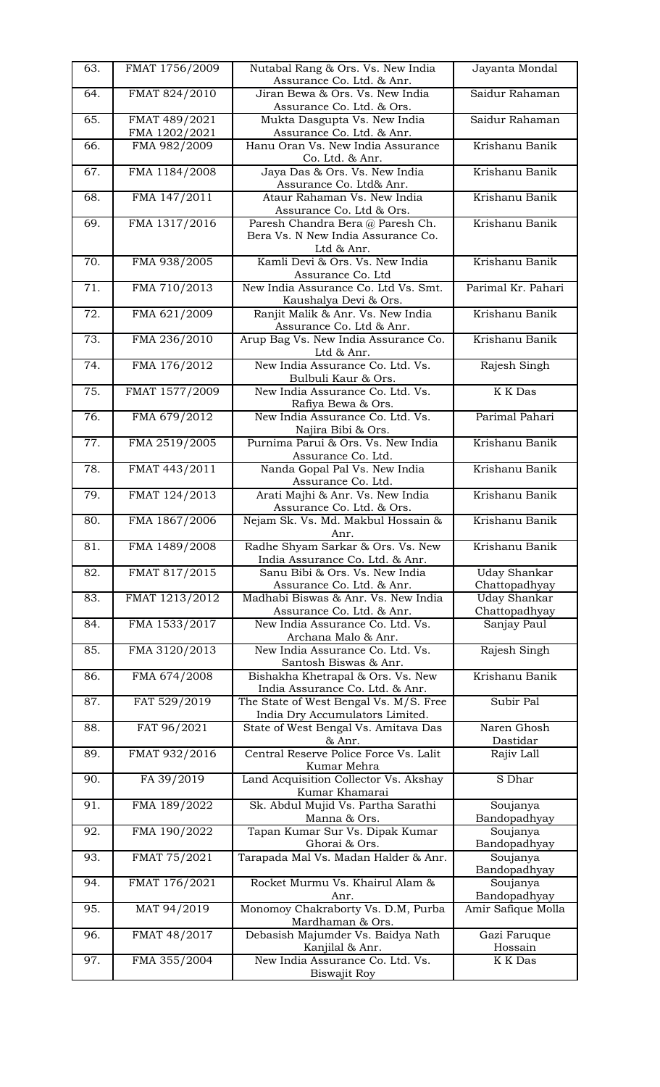| 63. | FMAT 1756/2009 | Nutabal Rang & Ors. Vs. New India<br>Assurance Co. Ltd. & Anr.          | Jayanta Mondal           |
|-----|----------------|-------------------------------------------------------------------------|--------------------------|
|     |                |                                                                         |                          |
| 64. | FMAT 824/2010  | Jiran Bewa & Ors. Vs. New India<br>Assurance Co. Ltd. & Ors.            | Saidur Rahaman           |
| 65. | FMAT 489/2021  | Mukta Dasgupta Vs. New India                                            | Saidur Rahaman           |
|     | FMA 1202/2021  | Assurance Co. Ltd. & Anr.                                               |                          |
| 66. | FMA 982/2009   | Hanu Oran Vs. New India Assurance                                       | Krishanu Banik           |
|     |                | Co. Ltd. & Anr.                                                         |                          |
| 67. | FMA 1184/2008  | Jaya Das & Ors. Vs. New India                                           | Krishanu Banik           |
|     |                | Assurance Co. Ltd& Anr.                                                 |                          |
| 68. | FMA 147/2011   | Ataur Rahaman Vs. New India                                             | Krishanu Banik           |
|     |                | Assurance Co. Ltd & Ors.                                                |                          |
| 69. | FMA 1317/2016  | Paresh Chandra Bera @ Paresh Ch.                                        | Krishanu Banik           |
|     |                | Bera Vs. N New India Assurance Co.                                      |                          |
|     |                | Ltd & Anr.                                                              |                          |
| 70. | FMA 938/2005   | Kamli Devi & Ors. Vs. New India                                         | Krishanu Banik           |
|     |                | Assurance Co. Ltd                                                       |                          |
| 71. | FMA 710/2013   | New India Assurance Co. Ltd Vs. Smt.                                    | Parimal Kr. Pahari       |
| 72. |                | Kaushalya Devi & Ors.                                                   | Krishanu Banik           |
|     | FMA 621/2009   | Ranjit Malik & Anr. Vs. New India<br>Assurance Co. Ltd & Anr.           |                          |
| 73. | FMA 236/2010   | Arup Bag Vs. New India Assurance Co.                                    | Krishanu Banik           |
|     |                | Ltd & Anr.                                                              |                          |
| 74. | FMA 176/2012   | New India Assurance Co. Ltd. Vs.                                        | Rajesh Singh             |
|     |                | Bulbuli Kaur & Ors.                                                     |                          |
| 75. | FMAT 1577/2009 | New India Assurance Co. Ltd. Vs.                                        | K K Das                  |
|     |                | Rafiya Bewa & Ors.                                                      |                          |
| 76. | FMA 679/2012   | New India Assurance Co. Ltd. Vs.                                        | Parimal Pahari           |
|     |                | Najira Bibi & Ors.                                                      |                          |
| 77. | FMA 2519/2005  | Purnima Parui & Ors. Vs. New India                                      | Krishanu Banik           |
|     |                | Assurance Co. Ltd.                                                      |                          |
| 78. | FMAT 443/2011  | Nanda Gopal Pal Vs. New India                                           | Krishanu Banik           |
|     |                | Assurance Co. Ltd.                                                      |                          |
| 79. | FMAT 124/2013  | Arati Majhi & Anr. Vs. New India                                        | Krishanu Banik           |
|     |                | Assurance Co. Ltd. & Ors.                                               |                          |
| 80. | FMA 1867/2006  | Nejam Sk. Vs. Md. Makbul Hossain &                                      | Krishanu Banik           |
| 81. | FMA 1489/2008  | Anr.<br>Radhe Shyam Sarkar & Ors. Vs. New                               | Krishanu Banik           |
|     |                | India Assurance Co. Ltd. & Anr.                                         |                          |
| 82. | FMAT 817/2015  | Sanu Bibi & Ors. Vs. New India                                          | <b>Uday Shankar</b>      |
|     |                | Assurance Co. Ltd. & Anr.                                               | Chattopadhyay            |
| 83. | FMAT 1213/2012 | Madhabi Biswas & Anr. Vs. New India                                     | <b>Uday Shankar</b>      |
|     |                | Assurance Co. Ltd. & Anr.                                               | Chattopadhyay            |
| 84. | FMA 1533/2017  | New India Assurance Co. Ltd. Vs.                                        | Sanjay Paul              |
|     |                | Archana Malo & Anr.                                                     |                          |
| 85. | FMA 3120/2013  | New India Assurance Co. Ltd. Vs.                                        | Rajesh Singh             |
|     |                | Santosh Biswas & Anr.                                                   |                          |
| 86. | FMA 674/2008   | Bishakha Khetrapal & Ors. Vs. New                                       | Krishanu Banik           |
|     |                | India Assurance Co. Ltd. & Anr.                                         |                          |
| 87. | FAT 529/2019   | The State of West Bengal Vs. M/S. Free                                  | Subir Pal                |
| 88. | FAT 96/2021    | India Dry Accumulators Limited.<br>State of West Bengal Vs. Amitava Das | Naren Ghosh              |
|     |                | & Anr.                                                                  | Dastidar                 |
| 89. | FMAT 932/2016  | Central Reserve Police Force Vs. Lalit                                  | Rajiv Lall               |
|     |                | Kumar Mehra                                                             |                          |
| 90. | FA 39/2019     | Land Acquisition Collector Vs. Akshay                                   | S Dhar                   |
|     |                | Kumar Khamarai                                                          |                          |
| 91. | FMA 189/2022   | Sk. Abdul Mujid Vs. Partha Sarathi                                      | Soujanya                 |
|     |                | Manna & Ors.                                                            | Bandopadhyay             |
| 92. | FMA 190/2022   | Tapan Kumar Sur Vs. Dipak Kumar                                         | Soujanya                 |
|     |                | Ghorai & Ors.                                                           | Bandopadhyay             |
| 93. | FMAT 75/2021   | Tarapada Mal Vs. Madan Halder & Anr.                                    | Soujanya                 |
|     |                |                                                                         | Bandopadhyay             |
| 94. | FMAT 176/2021  | Rocket Murmu Vs. Khairul Alam &                                         | Soujanya<br>Bandopadhyay |
| 95. | MAT 94/2019    | Anr.<br>Monomoy Chakraborty Vs. D.M, Purba                              | Amir Safique Molla       |
|     |                | Mardhaman & Ors.                                                        |                          |
| 96. | FMAT 48/2017   | Debasish Majumder Vs. Baidya Nath                                       | Gazi Faruque             |
|     |                | Kanjilal & Anr.                                                         | Hossain                  |
| 97. | FMA 355/2004   | New India Assurance Co. Ltd. Vs.                                        | K K Das                  |
|     |                | Biswajit Roy                                                            |                          |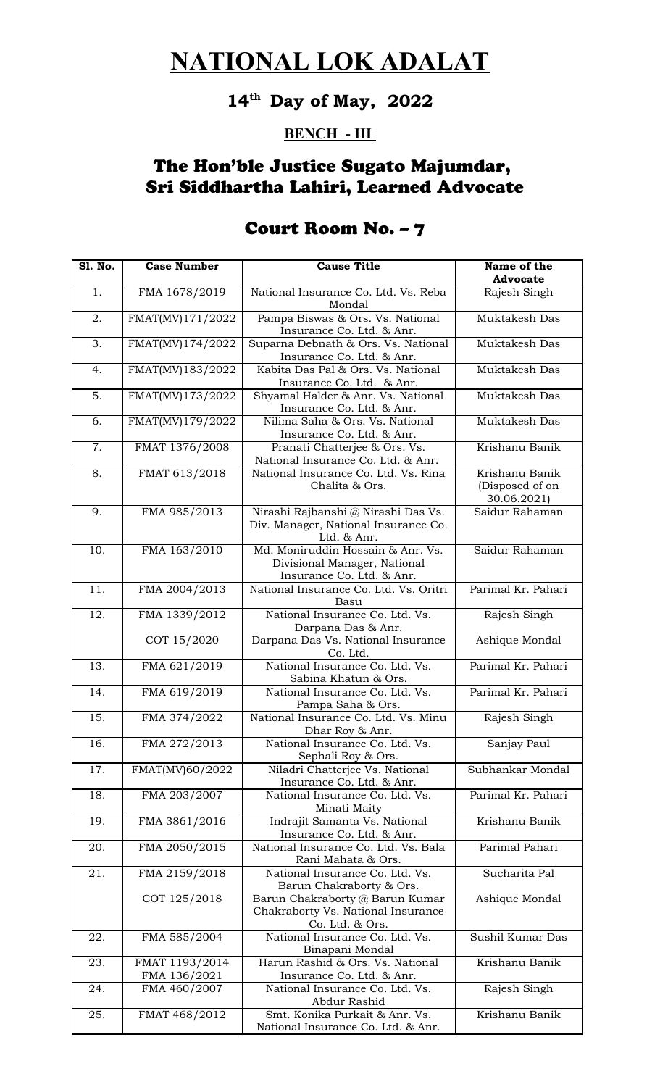#### **14th Day of May, 2022**

#### **BENCH - III**

#### The Hon'ble Justice Sugato Majumdar, Sri Siddhartha Lahiri, Learned Advocate

#### **Sl. No. Case Number Cause Title Name of the Advocate** 1. | FMA 1678/2019 | National Insurance Co. Ltd. Vs. Reba Mondal Rajesh Singh 2. FMAT(MV)171/2022 Pampa Biswas & Ors. Vs. National Insurance Co. Ltd. & Anr. Muktakesh Das 3. FMAT(MV)174/2022 Suparna Debnath & Ors. Vs. National Insurance Co. Ltd. & Anr. Muktakesh Das 4. FMAT(MV)183/2022 Kabita Das Pal & Ors. Vs. National Insurance Co. Ltd. & Anr. Muktakesh Das 5. FMAT(MV)173/2022 Shyamal Halder & Anr. Vs. National Insurance Co. Ltd. & Anr. Muktakesh Das 6. FMAT(MV)179/2022 Nilima Saha & Ors. Vs. National Insurance Co. Ltd. & Anr. Muktakesh Das 7. FMAT 1376/2008 Pranati Chatterjee & Ors. Vs. National Insurance Co. Ltd. & Anr. Krishanu Banik 8. FMAT 613/2018 | National Insurance Co. Ltd. Vs. Rina Chalita & Ors. Krishanu Banik (Disposed of on 30.06.2021) 9. FMA 985/2013 Nirashi Rajbanshi @ Nirashi Das Vs. Div. Manager, National Insurance Co. Ltd. & Anr. Saidur Rahaman 10. | FMA 163/2010 | Md. Moniruddin Hossain & Anr. Vs. Divisional Manager, National Insurance Co. Ltd. & Anr. Saidur Rahaman 11. FMA 2004/2013 National Insurance Co. Ltd. Vs. Oritri Basu Parimal Kr. Pahari 12. FMA 1339/2012 COT 15/2020 National Insurance Co. Ltd. Vs. Darpana Das & Anr. Darpana Das Vs. National Insurance Co. Ltd. Rajesh Singh Ashique Mondal 13. FMA 621/2019 National Insurance Co. Ltd. Vs. Sabina Khatun & Ors. Parimal Kr. Pahari 14. | FMA 619/2019 | National Insurance Co. Ltd. Vs. Pampa Saha & Ors. Parimal Kr. Pahari 15. FMA 374/2022 National Insurance Co. Ltd. Vs. Minu Dhar Roy & Anr. Rajesh Singh 16. FMA 272/2013 National Insurance Co. Ltd. Vs. Sephali Roy & Ors. Sanjay Paul 17. | FMAT(MV)60/2022 | Niladri Chatterjee Vs. National Insurance Co. Ltd. & Anr. Subhankar Mondal 18. FMA 203/2007 National Insurance Co. Ltd. Vs. Minati Maity Parimal Kr. Pahari 19. | FMA 3861/2016 | Indrajit Samanta Vs. National Insurance Co. Ltd. & Anr. Krishanu Banik 20. FMA 2050/2015 National Insurance Co. Ltd. Vs. Bala Rani Mahata & Ors. Parimal Pahari 21. FMA 2159/2018 COT 125/2018 National Insurance Co. Ltd. Vs. Barun Chakraborty & Ors. Barun Chakraborty @ Barun Kumar Chakraborty Vs. National Insurance Co. Ltd. & Ors. Sucharita Pal Ashique Mondal 22. | FMA 585/2004 | National Insurance Co. Ltd. Vs. Binapani Mondal Sushil Kumar Das 23. FMAT 1193/2014 FMA 136/2021 Harun Rashid & Ors. Vs. National Insurance Co. Ltd. & Anr. Krishanu Banik 24. FMA 460/2007 National Insurance Co. Ltd. Vs. Abdur Rashid Rajesh Singh 25. FMAT 468/2012 Smt. Konika Purkait & Anr. Vs. Krishanu Banik

National Insurance Co. Ltd. & Anr.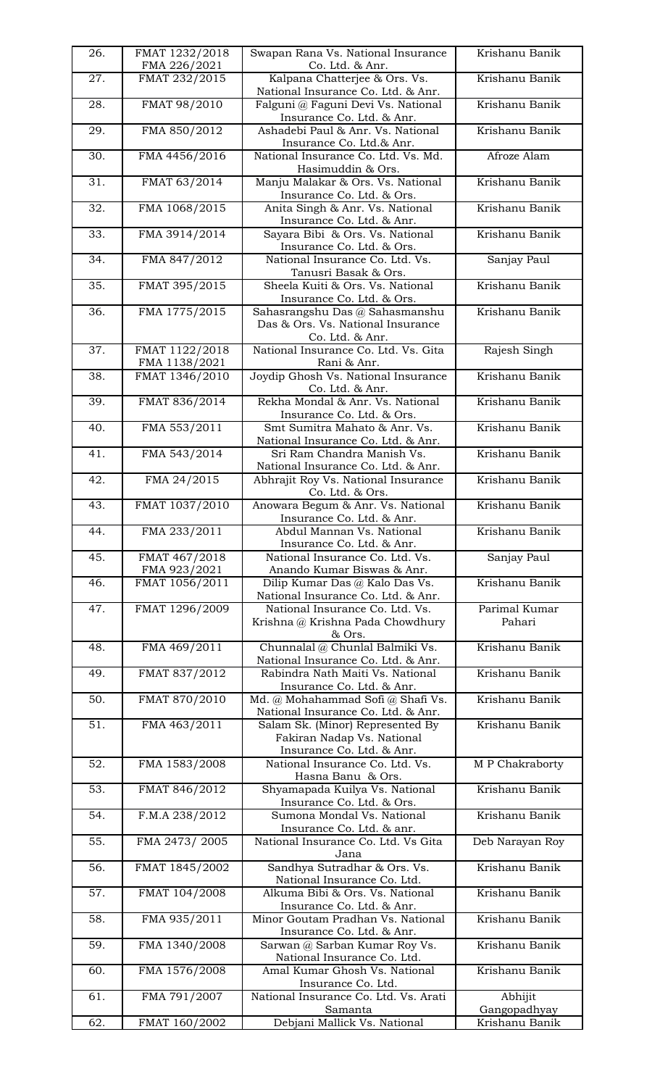| 26. | FMAT 1232/2018<br>FMA 226/2021  | Swapan Rana Vs. National Insurance<br>Co. Ltd. & Anr.                                       | Krishanu Banik          |
|-----|---------------------------------|---------------------------------------------------------------------------------------------|-------------------------|
| 27. | FMAT 232/2015                   | Kalpana Chatterjee & Ors. Vs.<br>National Insurance Co. Ltd. & Anr.                         | Krishanu Banik          |
| 28. | FMAT 98/2010                    | Falguni @ Faguni Devi Vs. National<br>Insurance Co. Ltd. & Anr.                             | Krishanu Banik          |
| 29. | FMA 850/2012                    | Ashadebi Paul & Anr. Vs. National<br>Insurance Co. Ltd.& Anr.                               | Krishanu Banik          |
| 30. | FMA 4456/2016                   | National Insurance Co. Ltd. Vs. Md.<br>Hasimuddin & Ors.                                    | Afroze Alam             |
| 31. | FMAT 63/2014                    | Manju Malakar & Ors. Vs. National<br>Insurance Co. Ltd. & Ors.                              | Krishanu Banik          |
| 32. | FMA 1068/2015                   | Anita Singh & Anr. Vs. National<br>Insurance Co. Ltd. & Anr.                                | Krishanu Banik          |
| 33. | FMA 3914/2014                   | Sayara Bibi & Ors. Vs. National<br>Insurance Co. Ltd. & Ors.                                | Krishanu Banik          |
| 34. | FMA 847/2012                    | National Insurance Co. Ltd. Vs.<br>Tanusri Basak & Ors.                                     | Sanjay Paul             |
| 35. | FMAT 395/2015                   | Sheela Kuiti & Ors. Vs. National<br>Insurance Co. Ltd. & Ors.                               | Krishanu Banik          |
| 36. | FMA 1775/2015                   | Sahasrangshu Das @ Sahasmanshu<br>Das & Ors. Vs. National Insurance<br>Co. Ltd. & Anr.      | Krishanu Banik          |
| 37. | FMAT 1122/2018<br>FMA 1138/2021 | National Insurance Co. Ltd. Vs. Gita<br>Rani & Anr.                                         | Rajesh Singh            |
| 38. | FMAT 1346/2010                  | Joydip Ghosh Vs. National Insurance<br>Co. Ltd. & Anr.                                      | Krishanu Banik          |
| 39. | FMAT 836/2014                   | Rekha Mondal & Anr. Vs. National<br>Insurance Co. Ltd. & Ors.                               | Krishanu Banik          |
| 40. | FMA 553/2011                    | Smt Sumitra Mahato & Anr. Vs.<br>National Insurance Co. Ltd. & Anr.                         | Krishanu Banik          |
| 41. | FMA 543/2014                    | Sri Ram Chandra Manish Vs.<br>National Insurance Co. Ltd. & Anr.                            | Krishanu Banik          |
| 42. | FMA 24/2015                     | Abhrajit Roy Vs. National Insurance<br>Co. Ltd. & Ors.                                      | Krishanu Banik          |
| 43. | FMAT 1037/2010                  | Anowara Begum & Anr. Vs. National<br>Insurance Co. Ltd. & Anr.                              | Krishanu Banik          |
| 44. | FMA 233/2011                    | Abdul Mannan Vs. National<br>Insurance Co. Ltd. & Anr.                                      | Krishanu Banik          |
| 45. | FMAT 467/2018<br>FMA 923/2021   | National Insurance Co. Ltd. Vs.<br>Anando Kumar Biswas & Anr.                               | Sanjay Paul             |
| 46. | FMAT 1056/2011                  | Dilip Kumar Das @ Kalo Das Vs.<br>National Insurance Co. Ltd. & Anr.                        | Krishanu Banik          |
| 47. | FMAT 1296/2009                  | National Insurance Co. Ltd. Vs.<br>Krishna @ Krishna Pada Chowdhury<br>& Ors.               | Parimal Kumar<br>Pahari |
| 48. | FMA 469/2011                    | Chunnalal @ Chunlal Balmiki Vs.<br>National Insurance Co. Ltd. & Anr.                       | Krishanu Banik          |
| 49. | FMAT 837/2012                   | Rabindra Nath Maiti Vs. National<br>Insurance Co. Ltd. & Anr.                               | Krishanu Banik          |
| 50. | FMAT 870/2010                   | Md. @ Mohahammad Sofi @ Shafi Vs.<br>National Insurance Co. Ltd. & Anr.                     | Krishanu Banik          |
| 51. | FMA 463/2011                    | Salam Sk. (Minor) Represented By<br>Fakiran Nadap Vs. National<br>Insurance Co. Ltd. & Anr. | Krishanu Banik          |
| 52. | FMA 1583/2008                   | National Insurance Co. Ltd. Vs.<br>Hasna Banu & Ors.                                        | M P Chakraborty         |
| 53. | FMAT 846/2012                   | Shyamapada Kuilya Vs. National<br>Insurance Co. Ltd. & Ors.                                 | Krishanu Banik          |
| 54. | F.M.A 238/2012                  | Sumona Mondal Vs. National<br>Insurance Co. Ltd. & anr.                                     | Krishanu Banik          |
| 55. | FMA 2473/2005                   | National Insurance Co. Ltd. Vs Gita<br>Jana                                                 | Deb Narayan Roy         |
| 56. | FMAT 1845/2002                  | Sandhya Sutradhar & Ors. Vs.<br>National Insurance Co. Ltd.                                 | Krishanu Banik          |
| 57. | FMAT 104/2008                   | Alkuma Bibi & Ors. Vs. National<br>Insurance Co. Ltd. & Anr.                                | Krishanu Banik          |
| 58. | FMA 935/2011                    | Minor Goutam Pradhan Vs. National<br>Insurance Co. Ltd. & Anr.                              | Krishanu Banik          |
| 59. | FMA 1340/2008                   | Sarwan @ Sarban Kumar Roy Vs.<br>National Insurance Co. Ltd.                                | Krishanu Banik          |
| 60. | FMA 1576/2008                   | Amal Kumar Ghosh Vs. National<br>Insurance Co. Ltd.                                         | Krishanu Banik          |
| 61. | FMA 791/2007                    | National Insurance Co. Ltd. Vs. Arati<br>Samanta                                            | Abhijit<br>Gangopadhyay |
| 62. | FMAT 160/2002                   | Debjani Mallick Vs. National                                                                | Krishanu Banik          |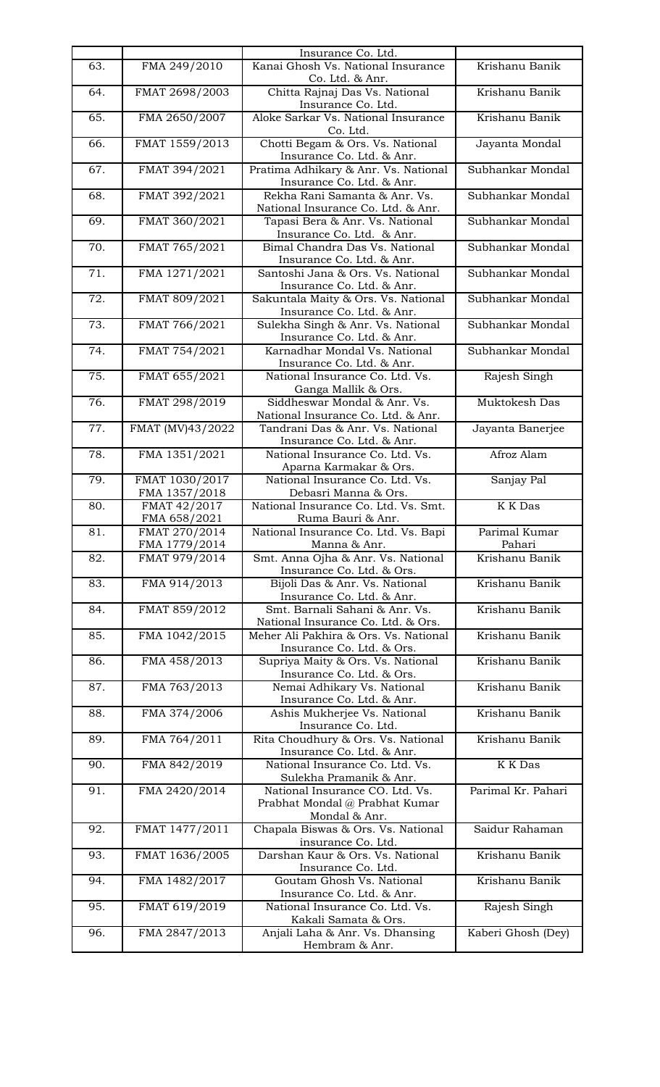|     |                                 | Insurance Co. Ltd.                                                                      |                          |
|-----|---------------------------------|-----------------------------------------------------------------------------------------|--------------------------|
| 63. | FMA 249/2010                    | Kanai Ghosh Vs. National Insurance<br>Co. Ltd. & Anr.                                   | Krishanu Banik           |
| 64. | FMAT 2698/2003                  | Chitta Rajnaj Das Vs. National<br>Insurance Co. Ltd.                                    | Krishanu Banik           |
| 65. | FMA 2650/2007                   | Aloke Sarkar Vs. National Insurance<br>Co. Ltd.                                         | Krishanu Banik           |
| 66. | FMAT 1559/2013                  | Chotti Begam & Ors. Vs. National<br>Insurance Co. Ltd. & Anr.                           | Jayanta Mondal           |
| 67. | FMAT 394/2021                   | Pratima Adhikary & Anr. Vs. National<br>Insurance Co. Ltd. & Anr.                       | Subhankar Mondal         |
| 68. | FMAT 392/2021                   | Rekha Rani Samanta & Anr. Vs.<br>National Insurance Co. Ltd. & Anr.                     | Subhankar Mondal         |
| 69. | FMAT 360/2021                   | Tapasi Bera & Anr. Vs. National<br>Insurance Co. Ltd. & Anr.                            | Subhankar Mondal         |
| 70. | FMAT 765/2021                   | Bimal Chandra Das Vs. National<br>Insurance Co. Ltd. & Anr.                             | Subhankar Mondal         |
| 71. | FMA 1271/2021                   | Santoshi Jana & Ors. Vs. National<br>Insurance Co. Ltd. & Anr.                          | Subhankar Mondal         |
| 72. | FMAT 809/2021                   | Sakuntala Maity & Ors. Vs. National<br>Insurance Co. Ltd. & Anr.                        | Subhankar Mondal         |
| 73. | FMAT 766/2021                   | Sulekha Singh & Anr. Vs. National<br>Insurance Co. Ltd. & Anr.                          | Subhankar Mondal         |
| 74. | FMAT 754/2021                   | Karnadhar Mondal Vs. National<br>Insurance Co. Ltd. & Anr.                              | Subhankar Mondal         |
| 75. | FMAT 655/2021                   | National Insurance Co. Ltd. Vs.<br>Ganga Mallik & Ors.                                  | Rajesh Singh             |
| 76. | FMAT 298/2019                   | Siddheswar Mondal & Anr. Vs.<br>National Insurance Co. Ltd. & Anr.                      | Muktokesh Das            |
| 77. | FMAT (MV)43/2022                | Tandrani Das & Anr. Vs. National<br>Insurance Co. Ltd. & Anr.                           | Jayanta Banerjee         |
| 78. | FMA 1351/2021                   | National Insurance Co. Ltd. Vs.<br>Aparna Karmakar & Ors.                               | Afroz Alam               |
| 79. | FMAT 1030/2017<br>FMA 1357/2018 | National Insurance Co. Ltd. Vs.<br>Debasri Manna & Ors.                                 | Sanjay Pal               |
|     |                                 |                                                                                         |                          |
| 80. | FMAT 42/2017                    | National Insurance Co. Ltd. Vs. Smt.                                                    | <b>K</b> K Das           |
| 81. | FMA 658/2021<br>FMAT 270/2014   | Ruma Bauri & Anr.<br>National Insurance Co. Ltd. Vs. Bapi                               | Parimal Kumar            |
| 82. | FMA 1779/2014<br>FMAT 979/2014  | Manna & Anr.<br>Smt. Anna Ojha & Anr. Vs. National                                      | Pahari<br>Krishanu Banik |
| 83. | FMA 914/2013                    | Insurance Co. Ltd. & Ors.<br>Bijoli Das & Anr. Vs. National                             | Krishanu Banik           |
| 84. | FMAT 859/2012                   | Insurance Co. Ltd. & Anr.<br>Smt. Barnali Sahani & Anr. Vs.                             | Krishanu Banik           |
| 85. | FMA 1042/2015                   | National Insurance Co. Ltd. & Ors.<br>Meher Ali Pakhira & Ors. Vs. National             | Krishanu Banik           |
| 86. | FMA 458/2013                    | Insurance Co. Ltd. & Ors.<br>Supriya Maity & Ors. Vs. National                          | Krishanu Banik           |
| 87. | FMA 763/2013                    | Insurance Co. Ltd. & Ors.<br>Nemai Adhikary Vs. National                                | Krishanu Banik           |
| 88. | FMA 374/2006                    | Insurance Co. Ltd. & Anr.<br>Ashis Mukherjee Vs. National                               | Krishanu Banik           |
| 89. | FMA 764/2011                    | Insurance Co. Ltd.<br>Rita Choudhury & Ors. Vs. National                                | Krishanu Banik           |
| 90. | FMA 842/2019                    | Insurance Co. Ltd. & Anr.<br>National Insurance Co. Ltd. Vs.<br>Sulekha Pramanik & Anr. | K K Das                  |
| 91. | FMA 2420/2014                   | National Insurance CO. Ltd. Vs.<br>Prabhat Mondal @ Prabhat Kumar                       | Parimal Kr. Pahari       |
| 92. | FMAT 1477/2011                  | Mondal & Anr.<br>Chapala Biswas & Ors. Vs. National<br>insurance Co. Ltd.               | Saidur Rahaman           |
| 93. | FMAT 1636/2005                  | Darshan Kaur & Ors. Vs. National<br>Insurance Co. Ltd.                                  | Krishanu Banik           |
| 94. | FMA 1482/2017                   | Goutam Ghosh Vs. National                                                               | Krishanu Banik           |
| 95. | FMAT 619/2019                   | Insurance Co. Ltd. & Anr.<br>National Insurance Co. Ltd. Vs.<br>Kakali Samata & Ors.    | Rajesh Singh             |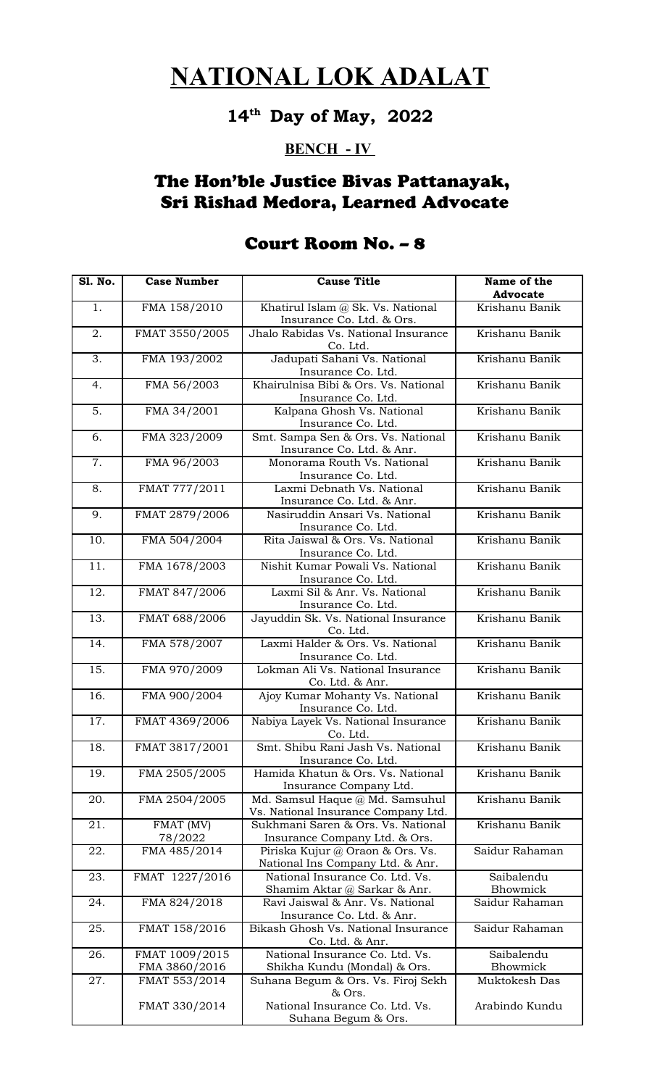# **14th Day of May, 2022**

#### **BENCH - IV**

## The Hon'ble Justice Bivas Pattanayak, Sri Rishad Medora, Learned Advocate

| <b>S1. No.</b> | <b>Case Number</b>              | <b>Cause Title</b>                                                     | Name of the<br>Advocate |
|----------------|---------------------------------|------------------------------------------------------------------------|-------------------------|
| 1.             | FMA 158/2010                    | Khatirul Islam @ Sk. Vs. National<br>Insurance Co. Ltd. & Ors.         | Krishanu Banik          |
| 2.             | FMAT 3550/2005                  | Jhalo Rabidas Vs. National Insurance<br>Co. Ltd.                       | Krishanu Banik          |
| 3.             | FMA 193/2002                    | Jadupati Sahani Vs. National<br>Insurance Co. Ltd.                     | Krishanu Banik          |
| 4.             | FMA 56/2003                     | Khairulnisa Bibi & Ors. Vs. National<br>Insurance Co. Ltd.             | Krishanu Banik          |
| 5.             | FMA 34/2001                     | Kalpana Ghosh Vs. National<br>Insurance Co. Ltd.                       | Krishanu Banik          |
| 6.             | FMA 323/2009                    | Smt. Sampa Sen & Ors. Vs. National<br>Insurance Co. Ltd. & Anr.        | Krishanu Banik          |
| 7.             | FMA 96/2003                     | Monorama Routh Vs. National<br>Insurance Co. Ltd.                      | Krishanu Banik          |
| 8.             | FMAT 777/2011                   | Laxmi Debnath Vs. National<br>Insurance Co. Ltd. & Anr.                | Krishanu Banik          |
| 9.             | FMAT 2879/2006                  | Nasiruddin Ansari Vs. National<br>Insurance Co. Ltd.                   | Krishanu Banik          |
| 10.            | FMA 504/2004                    | Rita Jaiswal & Ors. Vs. National<br>Insurance Co. Ltd.                 | Krishanu Banik          |
| 11.            | FMA 1678/2003                   | Nishit Kumar Powali Vs. National<br>Insurance Co. Ltd.                 | Krishanu Banik          |
| 12.            | FMAT 847/2006                   | Laxmi Sil & Anr. Vs. National<br>Insurance Co. Ltd.                    | Krishanu Banik          |
| 13.            | FMAT 688/2006                   | Jayuddin Sk. Vs. National Insurance<br>Co. Ltd.                        | Krishanu Banik          |
| 14.            | FMA 578/2007                    | Laxmi Halder & Ors. Vs. National<br>Insurance Co. Ltd.                 | Krishanu Banik          |
| 15.            | FMA 970/2009                    | Lokman Ali Vs. National Insurance<br>Co. Ltd. & Anr.                   | Krishanu Banik          |
| 16.            | FMA 900/2004                    | Ajoy Kumar Mohanty Vs. National<br>Insurance Co. Ltd.                  | Krishanu Banik          |
| 17.            | FMAT 4369/2006                  | Nabiya Layek Vs. National Insurance<br>Co. Ltd.                        | Krishanu Banik          |
| 18.            | FMAT 3817/2001                  | Smt. Shibu Rani Jash Vs. National<br>Insurance Co. Ltd.                | Krishanu Banik          |
| 19.            | FMA 2505/2005                   | Hamida Khatun & Ors. Vs. National<br>Insurance Company Ltd.            | Krishanu Banik          |
| 20.            | FMA 2504/2005                   | Md. Samsul Haque @ Md. Samsuhul<br>Vs. National Insurance Company Ltd. | Krishanu Banik          |
| 21.            | FMAT (MV)<br>78/2022            | Sukhmani Saren & Ors. Vs. National<br>Insurance Company Ltd. & Ors.    | Krishanu Banik          |
| 22.            | FMA 485/2014                    | Piriska Kujur @ Oraon & Ors. Vs.<br>National Ins Company Ltd. & Anr.   | Saidur Rahaman          |
| 23.            | FMAT 1227/2016                  | National Insurance Co. Ltd. Vs.<br>Shamim Aktar @ Sarkar & Anr.        | Saibalendu<br>Bhowmick  |
| 24.            | FMA 824/2018                    | Ravi Jaiswal & Anr. Vs. National<br>Insurance Co. Ltd. & Anr.          | Saidur Rahaman          |
| 25.            | FMAT 158/2016                   | Bikash Ghosh Vs. National Insurance<br>Co. Ltd. & Anr.                 | Saidur Rahaman          |
| 26.            | FMAT 1009/2015<br>FMA 3860/2016 | National Insurance Co. Ltd. Vs.<br>Shikha Kundu (Mondal) & Ors.        | Saibalendu<br>Bhowmick  |
| 27.            | FMAT 553/2014                   | Suhana Begum & Ors. Vs. Firoj Sekh<br>& Ors.                           | Muktokesh Das           |
|                | FMAT 330/2014                   | National Insurance Co. Ltd. Vs.<br>Suhana Begum & Ors.                 | Arabindo Kundu          |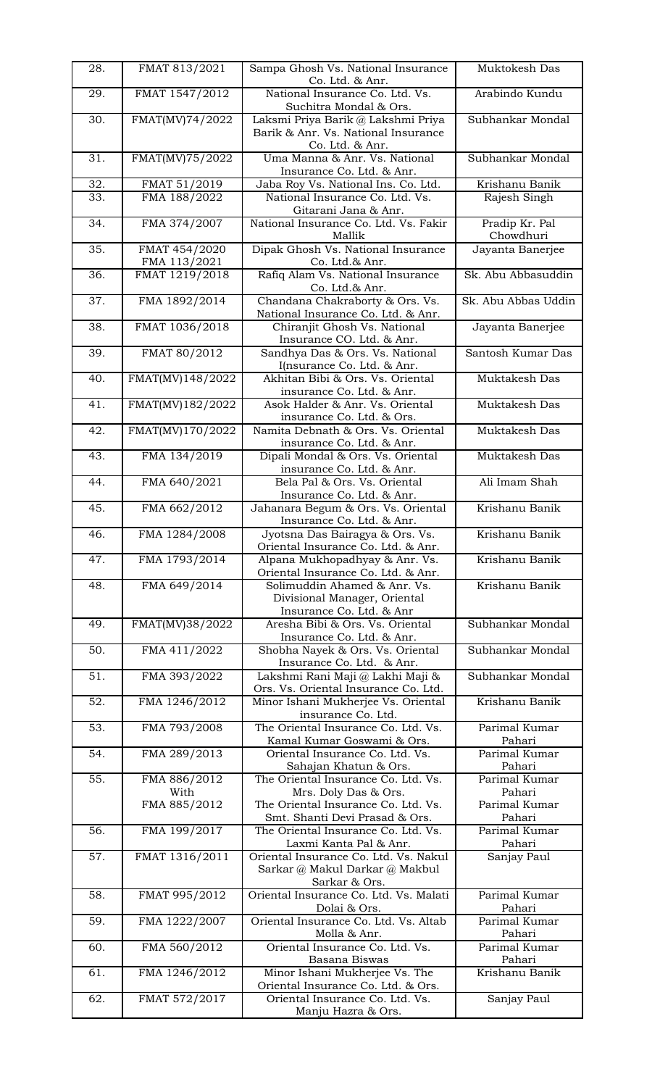| 28. | FMAT 813/2021                 | Sampa Ghosh Vs. National Insurance<br>Co. Ltd. & Anr.                                        | Muktokesh Das               |
|-----|-------------------------------|----------------------------------------------------------------------------------------------|-----------------------------|
| 29. | FMAT 1547/2012                | National Insurance Co. Ltd. Vs.<br>Suchitra Mondal & Ors.                                    | Arabindo Kundu              |
| 30. | FMAT(MV)74/2022               | Laksmi Priya Barik @ Lakshmi Priya<br>Barik & Anr. Vs. National Insurance                    | Subhankar Mondal            |
| 31. | FMAT(MV)75/2022               | Co. Ltd. & Anr.<br>Uma Manna & Anr. Vs. National                                             | Subhankar Mondal            |
| 32. |                               | Insurance Co. Ltd. & Anr.                                                                    | Krishanu Banik              |
| 33. | FMAT 51/2019<br>FMA 188/2022  | Jaba Roy Vs. National Ins. Co. Ltd.<br>National Insurance Co. Ltd. Vs.                       | Rajesh Singh                |
| 34. | FMA 374/2007                  | Gitarani Jana & Anr.<br>National Insurance Co. Ltd. Vs. Fakir<br>Mallik                      | Pradip Kr. Pal<br>Chowdhuri |
| 35. | FMAT 454/2020<br>FMA 113/2021 | Dipak Ghosh Vs. National Insurance<br>Co. Ltd.& Anr.                                         | Jayanta Banerjee            |
| 36. | FMAT 1219/2018                | Rafiq Alam Vs. National Insurance<br>Co. Ltd.& Anr.                                          | Sk. Abu Abbasuddin          |
| 37. | FMA 1892/2014                 | Chandana Chakraborty & Ors. Vs.<br>National Insurance Co. Ltd. & Anr.                        | Sk. Abu Abbas Uddin         |
| 38. | FMAT 1036/2018                | Chiranjit Ghosh Vs. National<br>Insurance CO. Ltd. & Anr.                                    | Jayanta Banerjee            |
| 39. | FMAT 80/2012                  | Sandhya Das & Ors. Vs. National                                                              | Santosh Kumar Das           |
| 40. | FMAT(MV)148/2022              | I(nsurance Co. Ltd. & Anr.<br>Akhitan Bibi & Ors. Vs. Oriental                               | Muktakesh Das               |
| 41. | FMAT(MV)182/2022              | insurance Co. Ltd. & Anr.<br>Asok Halder & Anr. Vs. Oriental                                 | Muktakesh Das               |
| 42. | FMAT(MV)170/2022              | insurance Co. Ltd. & Ors.<br>Namita Debnath & Ors. Vs. Oriental                              | Muktakesh Das               |
| 43. | FMA 134/2019                  | insurance Co. Ltd. & Anr.<br>Dipali Mondal & Ors. Vs. Oriental                               | Muktakesh Das               |
| 44. | FMA 640/2021                  | insurance Co. Ltd. & Anr.<br>Bela Pal & Ors. Vs. Oriental                                    | Ali Imam Shah               |
| 45. | FMA 662/2012                  | Insurance Co. Ltd. & Anr.<br>Jahanara Begum & Ors. Vs. Oriental<br>Insurance Co. Ltd. & Anr. | Krishanu Banik              |
| 46. | FMA 1284/2008                 | Jyotsna Das Bairagya & Ors. Vs.<br>Oriental Insurance Co. Ltd. & Anr.                        | Krishanu Banik              |
| 47. | FMA 1793/2014                 | Alpana Mukhopadhyay & Anr. Vs.<br>Oriental Insurance Co. Ltd. & Anr.                         | Krishanu Banik              |
| 48. | FMA 649/2014                  | Solimuddin Ahamed & Anr. Vs.<br>Divisional Manager, Oriental<br>Insurance Co. Ltd. & Anr     | Krishanu Banik              |
| 49. | FMAT(MV)38/2022               | Aresha Bibi & Ors. Vs. Oriental<br>Insurance Co. Ltd. & Anr.                                 | Subhankar Mondal            |
| 50. | FMA 411/2022                  | Shobha Nayek & Ors. Vs. Oriental<br>Insurance Co. Ltd. & Anr.                                | Subhankar Mondal            |
| 51. | FMA 393/2022                  | Lakshmi Rani Maji @ Lakhi Maji &<br>Ors. Vs. Oriental Insurance Co. Ltd.                     | Subhankar Mondal            |
| 52. | FMA 1246/2012                 | Minor Ishani Mukherjee Vs. Oriental<br>insurance Co. Ltd.                                    | Krishanu Banik              |
| 53. | FMA 793/2008                  | The Oriental Insurance Co. Ltd. Vs.                                                          | Parimal Kumar<br>Pahari     |
| 54. | FMA 289/2013                  | Kamal Kumar Goswami & Ors.<br>Oriental Insurance Co. Ltd. Vs.                                | Parimal Kumar               |
| 55. | FMA 886/2012                  | Sahajan Khatun & Ors.<br>The Oriental Insurance Co. Ltd. Vs.                                 | Pahari<br>Parimal Kumar     |
|     | With<br>FMA 885/2012          | Mrs. Doly Das & Ors.<br>The Oriental Insurance Co. Ltd. Vs.                                  | Pahari<br>Parimal Kumar     |
| 56. | FMA 199/2017                  | Smt. Shanti Devi Prasad & Ors.<br>The Oriental Insurance Co. Ltd. Vs.                        | Pahari<br>Parimal Kumar     |
| 57. | FMAT 1316/2011                | Laxmi Kanta Pal & Anr.<br>Oriental Insurance Co. Ltd. Vs. Nakul                              | Pahari<br>Sanjay Paul       |
|     |                               | Sarkar @ Makul Darkar @ Makbul<br>Sarkar & Ors.                                              |                             |
| 58. | FMAT 995/2012                 | Oriental Insurance Co. Ltd. Vs. Malati<br>Dolai & Ors.                                       | Parimal Kumar<br>Pahari     |
| 59. | FMA 1222/2007                 | Oriental Insurance Co. Ltd. Vs. Altab<br>Molla & Anr.                                        | Parimal Kumar<br>Pahari     |
| 60. | FMA 560/2012                  | Oriental Insurance Co. Ltd. Vs.<br>Basana Biswas                                             | Parimal Kumar<br>Pahari     |
| 61. | FMA 1246/2012                 | Minor Ishani Mukherjee Vs. The<br>Oriental Insurance Co. Ltd. & Ors.                         | Krishanu Banik              |
| 62. | FMAT 572/2017                 | Oriental Insurance Co. Ltd. Vs.<br>Manju Hazra & Ors.                                        | Sanjay Paul                 |